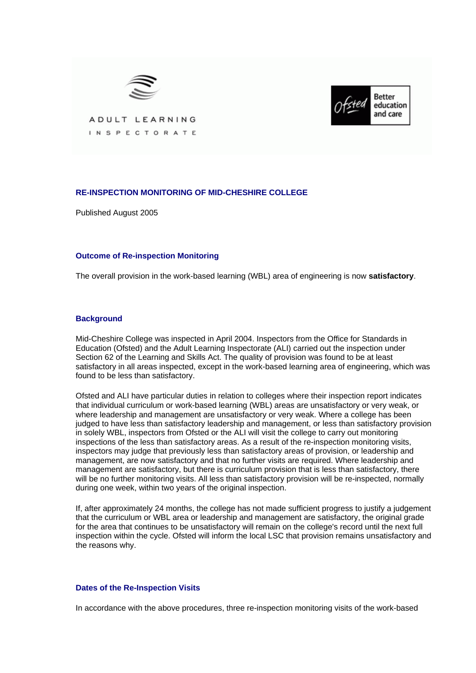



ADULT LEARNING INSPECTORATE

# **RE-INSPECTION MONITORING OF MID-CHESHIRE COLLEGE**

Published August 2005

### **Outcome of Re-inspection Monitoring**

The overall provision in the work-based learning (WBL) area of engineering is now **satisfactory**.

### **Background**

Mid-Cheshire College was inspected in April 2004. Inspectors from the Office for Standards in Education (Ofsted) and the Adult Learning Inspectorate (ALI) carried out the inspection under Section 62 of the Learning and Skills Act. The quality of provision was found to be at least satisfactory in all areas inspected, except in the work-based learning area of engineering, which was found to be less than satisfactory.

Ofsted and ALI have particular duties in relation to colleges where their inspection report indicates that individual curriculum or work-based learning (WBL) areas are unsatisfactory or very weak, or where leadership and management are unsatisfactory or very weak. Where a college has been judged to have less than satisfactory leadership and management, or less than satisfactory provision in solely WBL, inspectors from Ofsted or the ALI will visit the college to carry out monitoring inspections of the less than satisfactory areas. As a result of the re-inspection monitoring visits, inspectors may judge that previously less than satisfactory areas of provision, or leadership and management, are now satisfactory and that no further visits are required. Where leadership and management are satisfactory, but there is curriculum provision that is less than satisfactory, there will be no further monitoring visits. All less than satisfactory provision will be re-inspected, normally during one week, within two years of the original inspection.

If, after approximately 24 months, the college has not made sufficient progress to justify a judgement that the curriculum or WBL area or leadership and management are satisfactory, the original grade for the area that continues to be unsatisfactory will remain on the college's record until the next full inspection within the cycle. Ofsted will inform the local LSC that provision remains unsatisfactory and the reasons why.

#### **Dates of the Re-Inspection Visits**

In accordance with the above procedures, three re-inspection monitoring visits of the work-based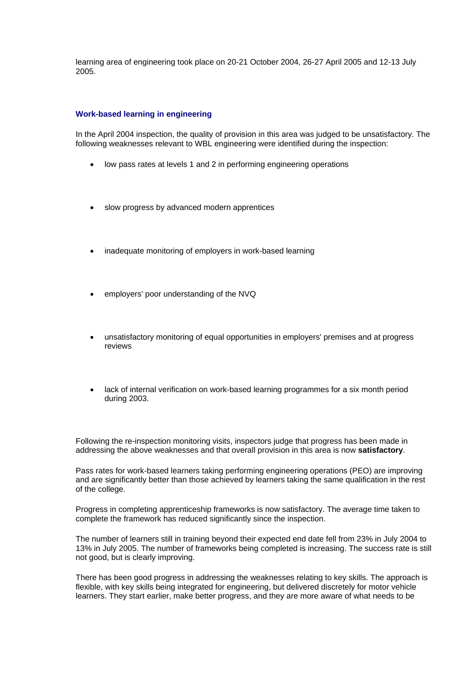learning area of engineering took place on 20-21 October 2004, 26-27 April 2005 and 12-13 July 2005.

## **Work-based learning in engineering**

In the April 2004 inspection, the quality of provision in this area was judged to be unsatisfactory. The following weaknesses relevant to WBL engineering were identified during the inspection:

- low pass rates at levels 1 and 2 in performing engineering operations
- slow progress by advanced modern apprentices
- inadequate monitoring of employers in work-based learning
- employers' poor understanding of the NVQ
- unsatisfactory monitoring of equal opportunities in employers' premises and at progress reviews
- lack of internal verification on work-based learning programmes for a six month period during 2003.

Following the re-inspection monitoring visits, inspectors judge that progress has been made in addressing the above weaknesses and that overall provision in this area is now **satisfactory**.

Pass rates for work-based learners taking performing engineering operations (PEO) are improving and are significantly better than those achieved by learners taking the same qualification in the rest of the college.

Progress in completing apprenticeship frameworks is now satisfactory. The average time taken to complete the framework has reduced significantly since the inspection.

The number of learners still in training beyond their expected end date fell from 23% in July 2004 to 13% in July 2005. The number of frameworks being completed is increasing. The success rate is still not good, but is clearly improving.

There has been good progress in addressing the weaknesses relating to key skills. The approach is flexible, with key skills being integrated for engineering, but delivered discretely for motor vehicle learners. They start earlier, make better progress, and they are more aware of what needs to be